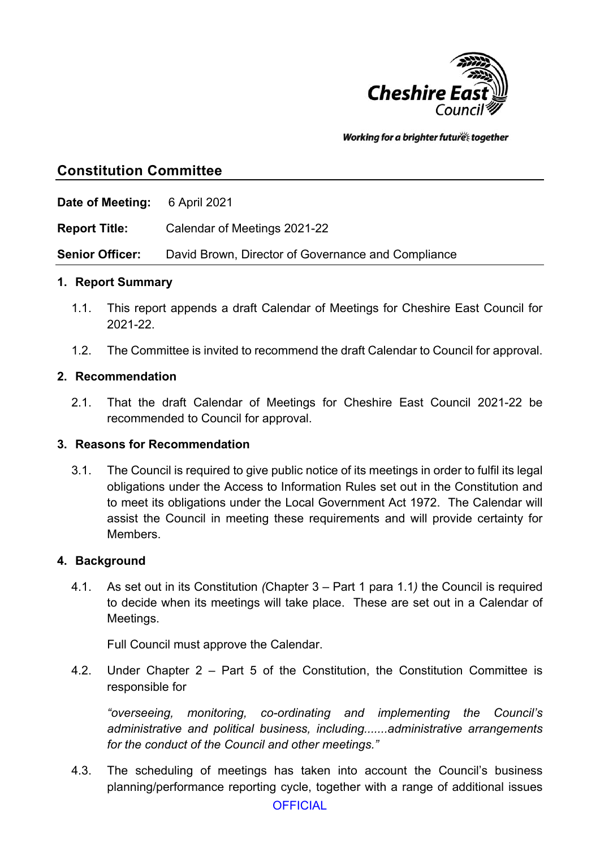

Working for a brighter futures together

# **Constitution Committee**

**Date of Meeting:** 6 April 2021

**Report Title:** Calendar of Meetings 2021-22

**Senior Officer:** David Brown, Director of Governance and Compliance

#### **1. Report Summary**

- 1.1. This report appends a draft Calendar of Meetings for Cheshire East Council for 2021-22.
- 1.2. The Committee is invited to recommend the draft Calendar to Council for approval.

#### **2. Recommendation**

2.1. That the draft Calendar of Meetings for Cheshire East Council 2021-22 be recommended to Council for approval.

#### **3. Reasons for Recommendation**

3.1. The Council is required to give public notice of its meetings in order to fulfil its legal obligations under the Access to Information Rules set out in the Constitution and to meet its obligations under the Local Government Act 1972. The Calendar will assist the Council in meeting these requirements and will provide certainty for Members.

#### **4. Background**

4.1. As set out in its Constitution *(*Chapter 3 – Part 1 para 1.1*)* the Council is required to decide when its meetings will take place. These are set out in a Calendar of Meetings.

Full Council must approve the Calendar.

4.2. Under Chapter 2 – Part 5 of the Constitution, the Constitution Committee is responsible for

*"overseeing, monitoring, co-ordinating and implementing the Council's administrative and political business, including.......administrative arrangements for the conduct of the Council and other meetings."*

4.3. The scheduling of meetings has taken into account the Council's business planning/performance reporting cycle, together with a range of additional issues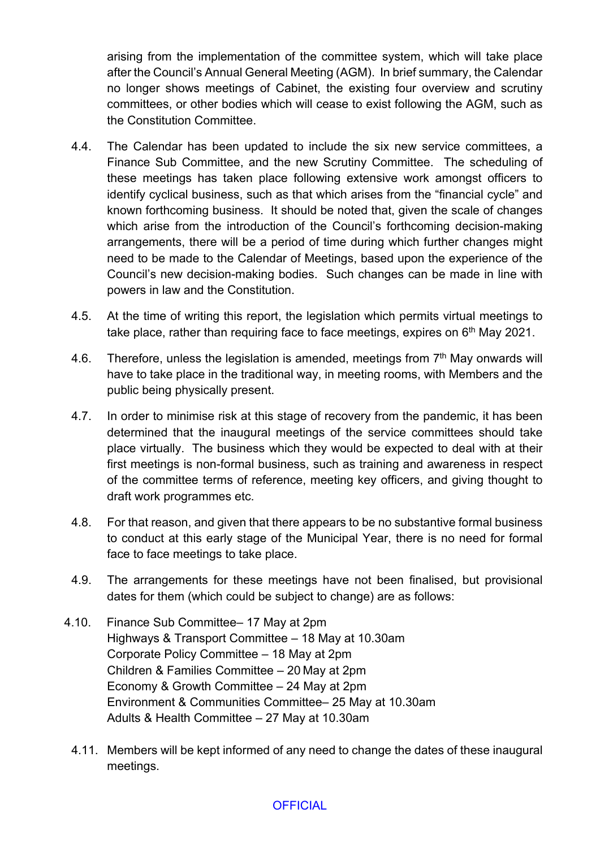arising from the implementation of the committee system, which will take place after the Council's Annual General Meeting (AGM). In brief summary, the Calendar no longer shows meetings of Cabinet, the existing four overview and scrutiny committees, or other bodies which will cease to exist following the AGM, such as the Constitution Committee.

- 4.4. The Calendar has been updated to include the six new service committees, a Finance Sub Committee, and the new Scrutiny Committee. The scheduling of these meetings has taken place following extensive work amongst officers to identify cyclical business, such as that which arises from the "financial cycle" and known forthcoming business. It should be noted that, given the scale of changes which arise from the introduction of the Council's forthcoming decision-making arrangements, there will be a period of time during which further changes might need to be made to the Calendar of Meetings, based upon the experience of the Council's new decision-making bodies. Such changes can be made in line with powers in law and the Constitution.
- 4.5. At the time of writing this report, the legislation which permits virtual meetings to take place, rather than requiring face to face meetings, expires on 6<sup>th</sup> May 2021.
- 4.6. Therefore, unless the legislation is amended, meetings from  $7<sup>th</sup>$  May onwards will have to take place in the traditional way, in meeting rooms, with Members and the public being physically present.
- 4.7. In order to minimise risk at this stage of recovery from the pandemic, it has been determined that the inaugural meetings of the service committees should take place virtually. The business which they would be expected to deal with at their first meetings is non-formal business, such as training and awareness in respect of the committee terms of reference, meeting key officers, and giving thought to draft work programmes etc.
- 4.8. For that reason, and given that there appears to be no substantive formal business to conduct at this early stage of the Municipal Year, there is no need for formal face to face meetings to take place.
- 4.9. The arrangements for these meetings have not been finalised, but provisional dates for them (which could be subject to change) are as follows:
- 4.10. Finance Sub Committee– 17 May at 2pm Highways & Transport Committee – 18 May at 10.30am Corporate Policy Committee – 18 May at 2pm Children & Families Committee – 20 May at 2pm Economy & Growth Committee – 24 May at 2pm Environment & Communities Committee– 25 May at 10.30am Adults & Health Committee – 27 May at 10.30am
	- 4.11. Members will be kept informed of any need to change the dates of these inaugural meetings.

### **OFFICIAL**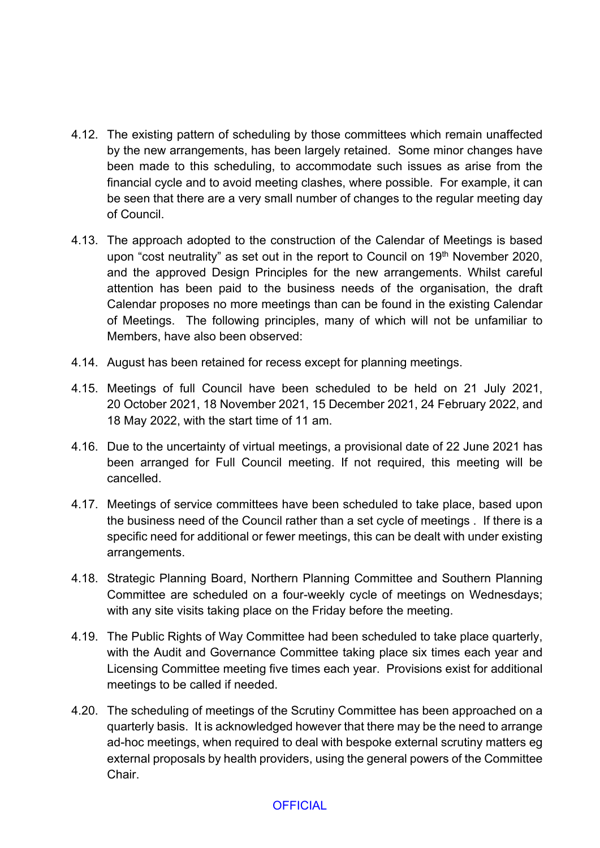- 4.12. The existing pattern of scheduling by those committees which remain unaffected by the new arrangements, has been largely retained. Some minor changes have been made to this scheduling, to accommodate such issues as arise from the financial cycle and to avoid meeting clashes, where possible. For example, it can be seen that there are a very small number of changes to the regular meeting day of Council.
- 4.13. The approach adopted to the construction of the Calendar of Meetings is based upon "cost neutrality" as set out in the report to Council on 19<sup>th</sup> November 2020, and the approved Design Principles for the new arrangements. Whilst careful attention has been paid to the business needs of the organisation, the draft Calendar proposes no more meetings than can be found in the existing Calendar of Meetings. The following principles, many of which will not be unfamiliar to Members, have also been observed:
- 4.14. August has been retained for recess except for planning meetings.
- 4.15. Meetings of full Council have been scheduled to be held on 21 July 2021, 20 October 2021, 18 November 2021, 15 December 2021, 24 February 2022, and 18 May 2022, with the start time of 11 am.
- 4.16. Due to the uncertainty of virtual meetings, a provisional date of 22 June 2021 has been arranged for Full Council meeting. If not required, this meeting will be cancelled.
- 4.17. Meetings of service committees have been scheduled to take place, based upon the business need of the Council rather than a set cycle of meetings . If there is a specific need for additional or fewer meetings, this can be dealt with under existing arrangements.
- 4.18. Strategic Planning Board, Northern Planning Committee and Southern Planning Committee are scheduled on a four-weekly cycle of meetings on Wednesdays; with any site visits taking place on the Friday before the meeting.
- 4.19. The Public Rights of Way Committee had been scheduled to take place quarterly, with the Audit and Governance Committee taking place six times each year and Licensing Committee meeting five times each year. Provisions exist for additional meetings to be called if needed.
- 4.20. The scheduling of meetings of the Scrutiny Committee has been approached on a quarterly basis. It is acknowledged however that there may be the need to arrange ad-hoc meetings, when required to deal with bespoke external scrutiny matters eg external proposals by health providers, using the general powers of the Committee Chair.

### **OFFICIAL**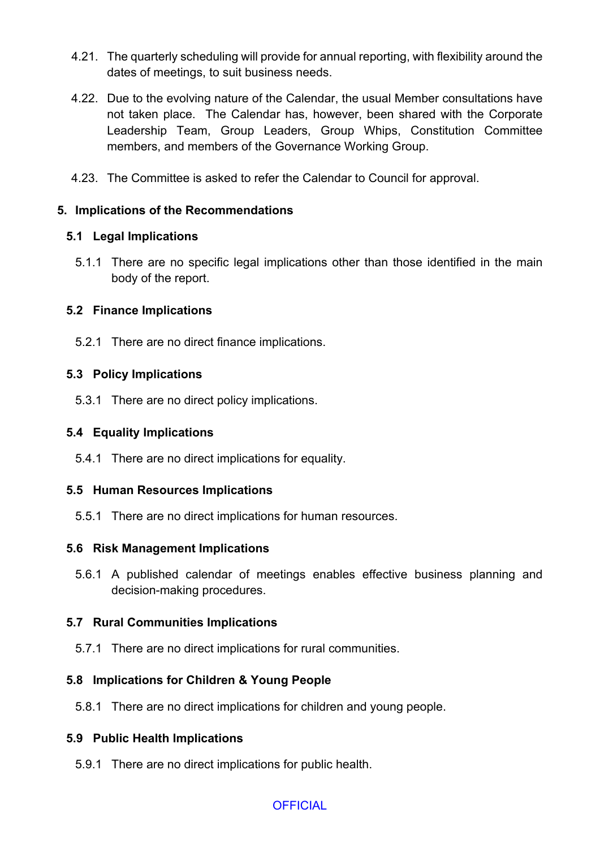- 4.21. The quarterly scheduling will provide for annual reporting, with flexibility around the dates of meetings, to suit business needs.
- 4.22. Due to the evolving nature of the Calendar, the usual Member consultations have not taken place. The Calendar has, however, been shared with the Corporate Leadership Team, Group Leaders, Group Whips, Constitution Committee members, and members of the Governance Working Group.
- 4.23. The Committee is asked to refer the Calendar to Council for approval.

## **5. Implications of the Recommendations**

### **5.1 Legal Implications**

5.1.1 There are no specific legal implications other than those identified in the main body of the report.

## **5.2 Finance Implications**

5.2.1 There are no direct finance implications.

## **5.3 Policy Implications**

5.3.1 There are no direct policy implications.

# **5.4 Equality Implications**

5.4.1 There are no direct implications for equality.

### **5.5 Human Resources Implications**

5.5.1 There are no direct implications for human resources.

# **5.6 Risk Management Implications**

5.6.1 A published calendar of meetings enables effective business planning and decision-making procedures.

# **5.7 Rural Communities Implications**

5.7.1 There are no direct implications for rural communities.

# **5.8 Implications for Children & Young People**

5.8.1 There are no direct implications for children and young people.

# **5.9 Public Health Implications**

5.9.1 There are no direct implications for public health.

# **OFFICIAL**